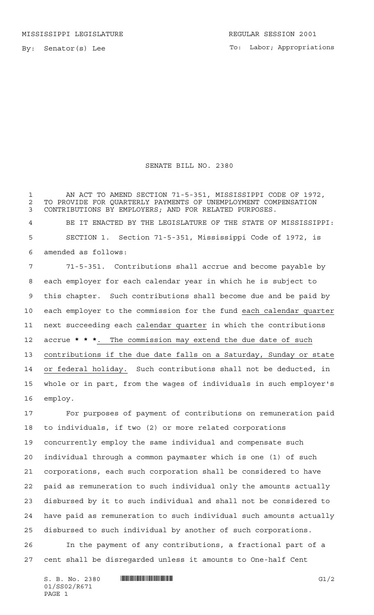To: Labor; Appropriations

## SENATE BILL NO. 2380

 AN ACT TO AMEND SECTION 71-5-351, MISSISSIPPI CODE OF 1972, 2 TO PROVIDE FOR QUARTERLY PAYMENTS OF UNEMPLOYMENT COMPENSATION<br>3 CONTRIBUTIONS BY EMPLOYERS: AND FOR RELATED PURPOSES. CONTRIBUTIONS BY EMPLOYERS; AND FOR RELATED PURPOSES.

 BE IT ENACTED BY THE LEGISLATURE OF THE STATE OF MISSISSIPPI: SECTION 1. Section 71-5-351, Mississippi Code of 1972, is amended as follows:

 71-5-351. Contributions shall accrue and become payable by each employer for each calendar year in which he is subject to this chapter. Such contributions shall become due and be paid by each employer to the commission for the fund each calendar quarter next succeeding each calendar quarter in which the contributions accrue **\*\*\***. The commission may extend the due date of such contributions if the due date falls on a Saturday, Sunday or state or federal holiday. Such contributions shall not be deducted, in whole or in part, from the wages of individuals in such employer's employ.

 For purposes of payment of contributions on remuneration paid to individuals, if two (2) or more related corporations concurrently employ the same individual and compensate such individual through a common paymaster which is one (1) of such corporations, each such corporation shall be considered to have paid as remuneration to such individual only the amounts actually disbursed by it to such individual and shall not be considered to have paid as remuneration to such individual such amounts actually disbursed to such individual by another of such corporations. In the payment of any contributions, a fractional part of a

cent shall be disregarded unless it amounts to One-half Cent

 $S. B. No. 2380$  ...  $\blacksquare$   $\blacksquare$   $\blacksquare$   $\blacksquare$   $\blacksquare$   $\blacksquare$   $\blacksquare$   $\blacksquare$   $\blacksquare$   $\blacksquare$   $\blacksquare$   $\blacksquare$   $\blacksquare$   $\blacksquare$   $\blacksquare$   $\blacksquare$   $\blacksquare$   $\blacksquare$   $\blacksquare$   $\blacksquare$   $\blacksquare$   $\blacksquare$   $\blacksquare$   $\blacksquare$   $\blacksquare$   $\blacksquare$   $\blacksquare$   $\blacksquare$   $\blacksquare$  01/SS02/R671 PAGE 1